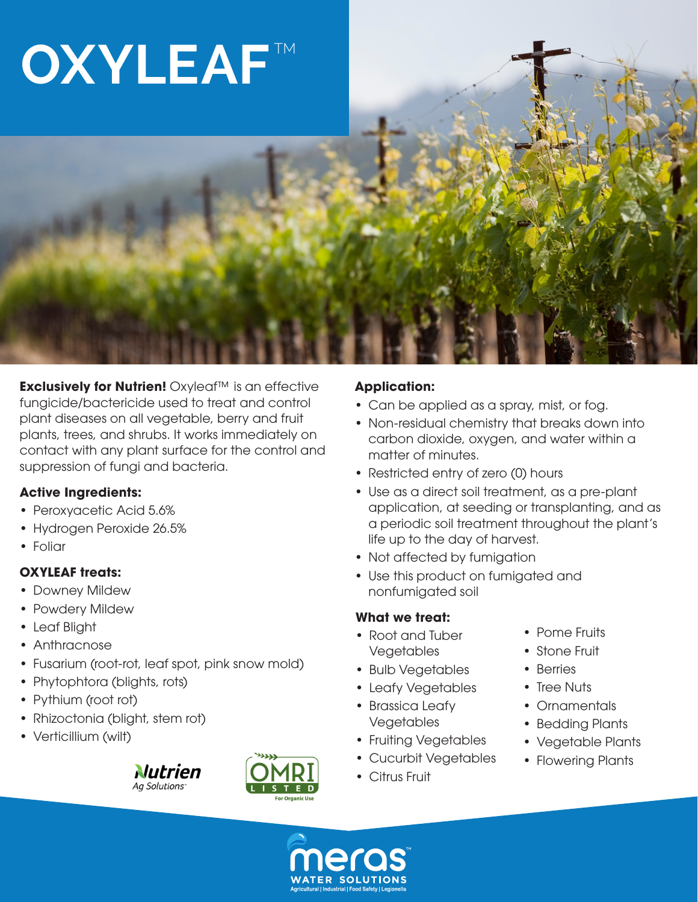# **OXYLEAF**

**Exclusively for Nutrien!** Oxyleaf™ is an effective fungicide/bactericide used to treat and control plant diseases on all vegetable, berry and fruit plants, trees, and shrubs. It works immediately on contact with any plant surface for the control and suppression of fungi and bacteria.

# **Active Ingredients:**

- Peroxyacetic Acid 5.6%
- Hydrogen Peroxide 26.5%
- Foliar

# **OXYLEAF treats:**

- Downey Mildew
- Powdery Mildew
- Leaf Blight
- Anthracnose
- Fusarium (root-rot, leaf spot, pink snow mold)
- Phytophtora (blights, rots)
- Pythium (root rot)
- Rhizoctonia (blight, stem rot)
- Verticillium (wilt)





### **Application:**

- Can be applied as a spray, mist, or fog.
- Non-residual chemistry that breaks down into carbon dioxide, oxygen, and water within a matter of minutes.
- Restricted entry of zero (0) hours
- Use as a direct soil treatment, as a pre-plant application, at seeding or transplanting, and as a periodic soil treatment throughout the plant's life up to the day of harvest.
- Not affected by fumigation
- Use this product on fumigated and nonfumigated soil

# **What we treat:**

- Root and Tuber Vegetables
- Bulb Vegetables
- Leafy Vegetables
- Brassica Leafy Vegetables
- Fruiting Vegetables
- Cucurbit Vegetables
- Citrus Fruit
- Pome Fruits
- Stone Fruit
- Berries
- Tree Nuts
- Ornamentals
- Bedding Plants
- Vegetable Plants
- Flowering Plants